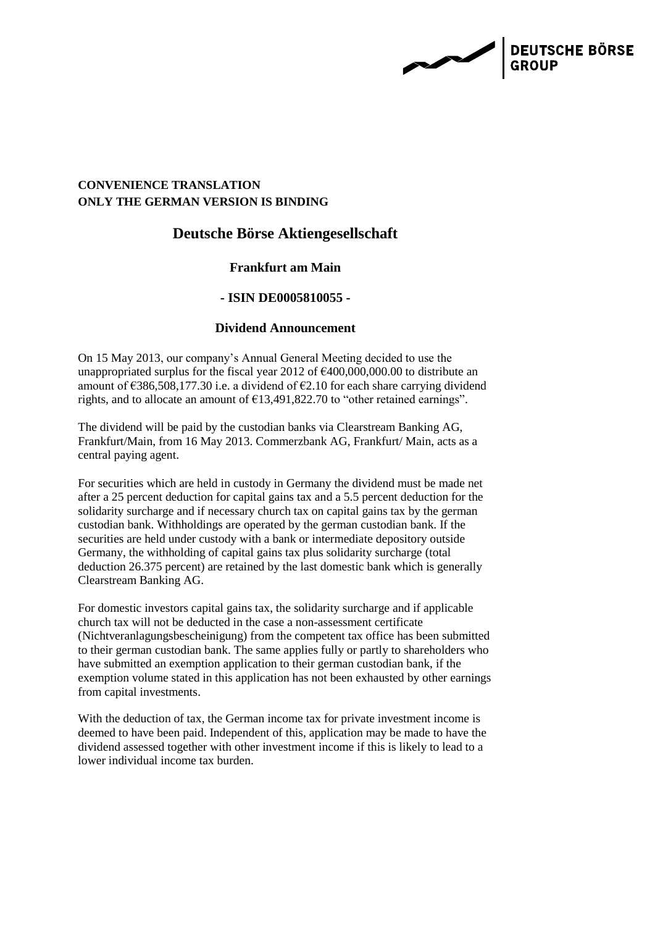**DEUTSCHE BÖRSE** 

## **CONVENIENCE TRANSLATION ONLY THE GERMAN VERSION IS BINDING**

# **Deutsche Börse Aktiengesellschaft**

## **Frankfurt am Main**

### **- ISIN DE0005810055 -**

### **Dividend Announcement**

On 15 May 2013, our company's Annual General Meeting decided to use the unappropriated surplus for the fiscal year 2012 of  $\epsilon$ 400,000,000.00 to distribute an amount of  $\epsilon$ 386,508,177.30 i.e. a dividend of  $\epsilon$ 2.10 for each share carrying dividend rights, and to allocate an amount of  $\epsilon$ 13,491,822.70 to "other retained earnings".

The dividend will be paid by the custodian banks via Clearstream Banking AG, Frankfurt/Main, from 16 May 2013. Commerzbank AG, Frankfurt/ Main, acts as a central paying agent.

For securities which are held in custody in Germany the dividend must be made net after a 25 percent deduction for capital gains tax and a 5.5 percent deduction for the solidarity surcharge and if necessary church tax on capital gains tax by the german custodian bank. Withholdings are operated by the german custodian bank. If the securities are held under custody with a bank or intermediate depository outside Germany, the withholding of capital gains tax plus solidarity surcharge (total deduction 26.375 percent) are retained by the last domestic bank which is generally Clearstream Banking AG.

For domestic investors capital gains tax, the solidarity surcharge and if applicable church tax will not be deducted in the case a non-assessment certificate (Nichtveranlagungsbescheinigung) from the competent tax office has been submitted to their german custodian bank. The same applies fully or partly to shareholders who have submitted an exemption application to their german custodian bank, if the exemption volume stated in this application has not been exhausted by other earnings from capital investments.

With the deduction of tax, the German income tax for private investment income is deemed to have been paid. Independent of this, application may be made to have the dividend assessed together with other investment income if this is likely to lead to a lower individual income tax burden.